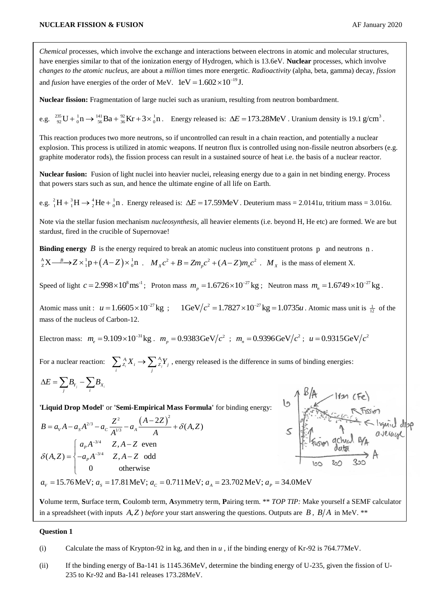*Chemical* processes, which involve the exchange and interactions between electrons in atomic and molecular structures, have energies similar to that of the ionization energy of Hydrogen, which is 13.6eV. **Nuclear** processes, which involve *changes to the atomic nucleus*, are about a *million* times more energetic. *Radioactivity* (alpha, beta, gamma) decay, *fission* and *fusion* have energies of the order of MeV.  $1 \text{eV} = 1.602 \times 10^{-19} \text{J}$ .

**Nuclear fission:** Fragmentation of large nuclei such as uranium, resulting from neutron bombardment.

e.g.  ${}^{235}_{92}U + {}^{1}_{0}n \rightarrow {}^{141}_{56}Ba + {}^{92}_{36}Kr + 3 \times {}^{1}_{0}n$ . Energy released is:  $\Delta E = 173.28MeV$ . Uranium density is 19.1 g/cm<sup>3</sup>.

This reaction produces two more neutrons, so if uncontrolled can result in a chain reaction, and potentially a nuclear explosion. This process is utilized in atomic weapons. If neutron flux is controlled using non-fissile neutron absorbers (e.g. graphite moderator rods), the fission process can result in a sustained source of heat i.e. the basis of a nuclear reactor.

**Nuclear fusion:** Fusion of light nuclei into heavier nuclei, releasing energy due to a gain in net binding energy. Process that powers stars such as sun, and hence the ultimate engine of all life on Earth.

e.g.  ${}_{1}^{2}H + {}_{1}^{3}H \rightarrow {}_{2}^{4}He + {}_{0}^{1}n$ . Energy released is:  $\Delta E = 17.59$ MeV. Deuterium mass = 2.0141*u*, tritium mass = 3.016*u*.

Note via the stellar fusion mechanism *nucleosynthesis*, all heavier elements (i.e. beyond H, He etc) are formed. We are but stardust, fired in the crucible of Supernovae!

**Binding energy**  $B$  is the energy required to break an atomic nucleus into constituent protons  $p$  and neutrons  $n$ .  $\frac{A}{Z}X \rightarrow Z \times \frac{1}{1}p + (A - Z) \times \frac{1}{0}n$  .  $M_X c^2 + B = Zm_p c^2 + (A - Z)m_n c^2$  .  $M_X$  is the mass of element X.

Speed of light  $c = 2.998 \times 10^8 \text{ ms}^{-1}$ ; Proton mass  $m_p = 1.6726 \times 10^{-27} \text{ kg}$ ; Neutron mass  $m_n = 1.6749 \times 10^{-27} \text{ kg}$ .

Atomic mass unit :  $u = 1.6605 \times 10^{-27}$  kg ;  $1 \text{GeV}/c^2 = 1.7827 \times 10^{-27}$  kg = 1.0735*u* F  $= 1.7827 \times 10^{-27}$  kg  $= 1.0735u$ . Atomic mass unit is  $\frac{1}{12}$  of the mass of the nucleus of Carbon-12.

Electron mass:  $m_e = 9.109 \times 10^{-31}$ kg *.*  $m_p = 0.9383$ GeV $/c^2$ ;  $m_n = 0.9396$ GeV $/c^2$ ;  $u = 0.9315$ GeV $/c^2$ 

For a nuclear reaction:  $\sum_{Z_i}^{A_i} X_i \rightarrow \sum_{Z_j}^{A_j} X_j$  $\sum_i^A Z_i X_i \to \sum_j^A Z_j Y_j$ , energy released is the difference in sums of binding energies:

$$
\Delta E = \sum_j B_{Y_j} - \sum_i B_{X_i}
$$

**'Liquid Drop Model'** or **'Semi-Empirical Mass Formula'** for binding energy:

$$
\Delta E = \sum_{j} B_{Y_j} - \sum_{i} B_{X_i}
$$
  
\n
$$
B = a_V A - a_S A^{2/3} - a_C \frac{Z^2}{A^{1/3}} - a_A \frac{(A - 2Z)^2}{A} + \delta(A, Z)
$$
  
\n
$$
\delta(A, Z) = \begin{cases} a_p A^{-3/4} & Z, A - Z \text{ even} \\ -a_p A^{-3/4} & Z, A - Z \text{ even} \\ 0 & \text{otherwise} \end{cases}
$$
  
\n
$$
B = a_V A - a_S A^{2/3} - a_C \frac{Z^2}{A^{1/3}} - a_A \frac{(A - 2Z)^2}{A} + \delta(A, Z)
$$
  
\n
$$
\delta(A, Z) = \begin{cases} a_p A^{-3/4} & Z, A - Z \text{ even} \\ -a_p A^{-3/4} & Z, A - Z \text{ odd} \\ 0 & \text{otherwise} \end{cases}
$$
  
\n
$$
a_V = 15.76 \text{ MeV}; a_S = 17.81 \text{ MeV}; a_C = 0.711 \text{ MeV}; a_A = 23.702 \text{ MeV}; a_P = 34.0 \text{ MeV}
$$

**V**olume term, **S**urface term, **C**oulomb term, **A**symmetry term, **P**airing term. \*\* *TOP TIP:* Make yourself a SEMF calculator in a spreadsheet (with inputs  $A, Z$ ) *before* your start answering the questions. Outputs are  $B$ ,  $B/A$  in MeV. \*\*

## **Question 1**

<sup>(</sup>i) Calculate the mass of Krypton-92 in kg, and then in *u* , if the binding energy of Kr-92 is 764.77MeV.

<sup>(</sup>ii) If the binding energy of Ba-141 is 1145.36MeV, determine the binding energy of U-235, given the fission of U-235 to Kr-92 and Ba-141 releases 173.28MeV.